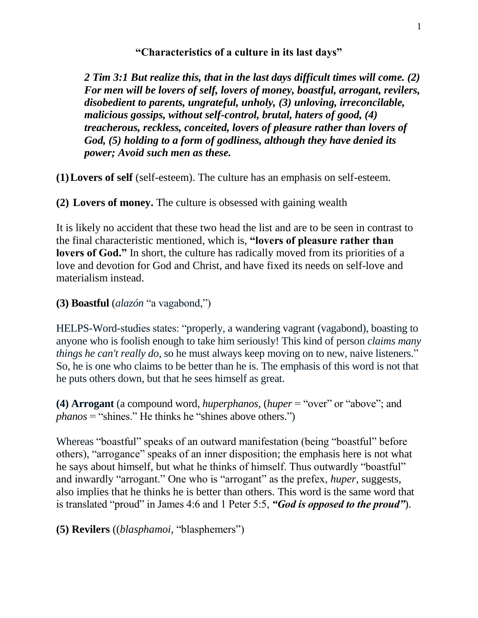**"Characteristics of a culture in its last days"**

*2 Tim 3:1 But realize this, that in the last days difficult times will come. (2) For men will be lovers of self, lovers of money, boastful, arrogant, revilers, disobedient to parents, ungrateful, unholy, (3) unloving, irreconcilable, malicious gossips, without self-control, brutal, haters of good, (4) treacherous, reckless, conceited, lovers of pleasure rather than lovers of God, (5) holding to a form of godliness, although they have denied its power; Avoid such men as these.*

**(1)Lovers of self** (self-esteem). The culture has an emphasis on self-esteem.

**(2) Lovers of money.** The culture is obsessed with gaining wealth

It is likely no accident that these two head the list and are to be seen in contrast to the final characteristic mentioned, which is, **"lovers of pleasure rather than lovers of God."** In short, the culture has radically moved from its priorities of a love and devotion for God and Christ, and have fixed its needs on self-love and materialism instead.

**(3) Boastful** (*alazón* "a vagabond,")

HELPS-Word-studies states: "properly, a wandering vagrant (vagabond), boasting to anyone who is foolish enough to take him seriously! This kind of person *claims many things he can't really do*, so he must always keep moving on to new, naive listeners." So, he is one who claims to be better than he is. The emphasis of this word is not that he puts others down, but that he sees himself as great.

**(4) Arrogant** (a compound word, *huperphanos,* (*huper* = "over" or "above"; and *phanos* = "shines." He thinks he "shines above others.")

Whereas "boastful" speaks of an outward manifestation (being "boastful" before others), "arrogance" speaks of an inner disposition; the emphasis here is not what he says about himself, but what he thinks of himself. Thus outwardly "boastful" and inwardly "arrogant." One who is "arrogant" as the prefex, *huper,* suggests, also implies that he thinks he is better than others. This word is the same word that is translated "proud" in James 4:6 and 1 Peter 5:5, *"God is opposed to the proud"*).

**(5) Revilers** ((*blasphamoi,* "blasphemers")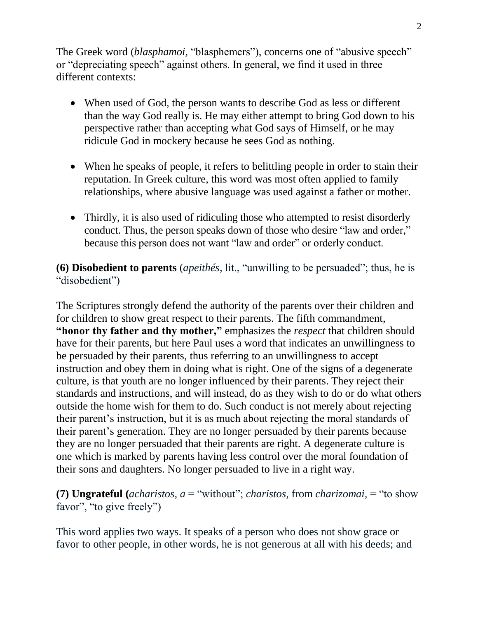The Greek word (*blasphamoi,* "blasphemers"), concerns one of "abusive speech" or "depreciating speech" against others. In general, we find it used in three different contexts:

- When used of God, the person wants to describe God as less or different than the way God really is. He may either attempt to bring God down to his perspective rather than accepting what God says of Himself, or he may ridicule God in mockery because he sees God as nothing.
- When he speaks of people, it refers to belittling people in order to stain their reputation. In Greek culture, this word was most often applied to family relationships, where abusive language was used against a father or mother.
- Thirdly, it is also used of ridiculing those who attempted to resist disorderly conduct. Thus, the person speaks down of those who desire "law and order," because this person does not want "law and order" or orderly conduct.

**(6) Disobedient to parents** (*apeithés,* lit., "unwilling to be persuaded"; thus, he is "disobedient")

The Scriptures strongly defend the authority of the parents over their children and for children to show great respect to their parents. The fifth commandment, **"honor thy father and thy mother,"** emphasizes the *respect* that children should have for their parents, but here Paul uses a word that indicates an unwillingness to be persuaded by their parents, thus referring to an unwillingness to accept instruction and obey them in doing what is right. One of the signs of a degenerate culture, is that youth are no longer influenced by their parents. They reject their standards and instructions, and will instead, do as they wish to do or do what others outside the home wish for them to do. Such conduct is not merely about rejecting their parent's instruction, but it is as much about rejecting the moral standards of their parent's generation. They are no longer persuaded by their parents because they are no longer persuaded that their parents are right. A degenerate culture is one which is marked by parents having less control over the moral foundation of their sons and daughters. No longer persuaded to live in a right way.

**(7) Ungrateful (***acharistos, a* = "without"; *charistos,* from *charizomai,* = "to show favor", "to give freely")

This word applies two ways. It speaks of a person who does not show grace or favor to other people, in other words, he is not generous at all with his deeds; and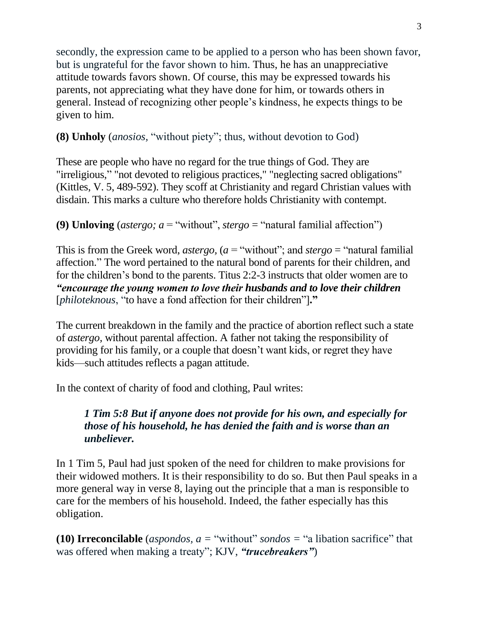secondly, the expression came to be applied to a person who has been shown favor, but is ungrateful for the favor shown to him. Thus, he has an unappreciative attitude towards favors shown. Of course, this may be expressed towards his parents, not appreciating what they have done for him, or towards others in general. Instead of recognizing other people's kindness, he expects things to be given to him.

## **(8) Unholy** (*anosios,* "without piety"; thus, without devotion to God)

These are people who have no regard for the true things of God. They are "irreligious," "not devoted to religious practices," "neglecting sacred obligations" (Kittles, V. 5, 489-592). They scoff at Christianity and regard Christian values with disdain. This marks a culture who therefore holds Christianity with contempt.

## **(9) Unloving** *(astergo;*  $a =$  *"without", <i>stergo* = "natural familial affection")

This is from the Greek word, *astergo,* (*a* = "without"; and *stergo* = "natural familial affection." The word pertained to the natural bond of parents for their children, and for the children's bond to the parents. Titus 2:2-3 instructs that older women are to *"encourage the young women to love their husbands and to love their children* [*philoteknous*, "to have a fond affection for their children"]**."** 

The current breakdown in the family and the practice of abortion reflect such a state of *astergo,* without parental affection. A father not taking the responsibility of providing for his family, or a couple that doesn't want kids, or regret they have kids—such attitudes reflects a pagan attitude.

In the context of charity of food and clothing, Paul writes:

## *1 Tim 5:8 But if anyone does not provide for his own, and especially for those of his household, he has denied the faith and is worse than an unbeliever.*

In 1 Tim 5, Paul had just spoken of the need for children to make provisions for their widowed mothers. It is their responsibility to do so. But then Paul speaks in a more general way in verse 8, laying out the principle that a man is responsible to care for the members of his household. Indeed, the father especially has this obligation.

**(10) Irreconcilable** *(aspondos,*  $a =$  *"without" sondos = "a libation sacrifice" that* was offered when making a treaty"; KJV, *"trucebreakers"*)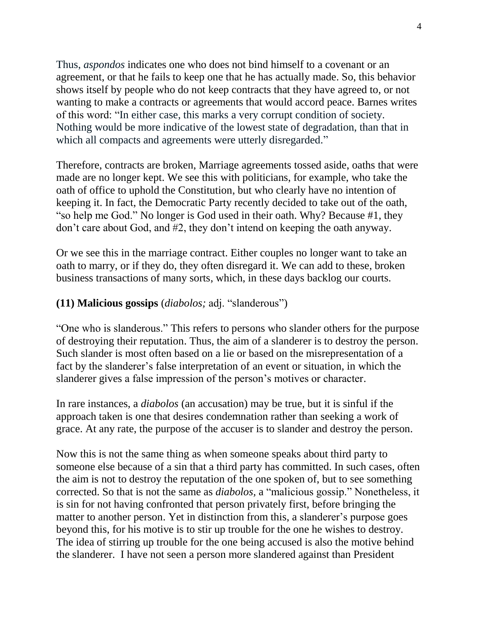Thus, *aspondos* indicates one who does not bind himself to a covenant or an agreement, or that he fails to keep one that he has actually made. So, this behavior shows itself by people who do not keep contracts that they have agreed to, or not wanting to make a contracts or agreements that would accord peace. Barnes writes of this word: "In either case, this marks a very corrupt condition of society. Nothing would be more indicative of the lowest state of degradation, than that in which all compacts and agreements were utterly disregarded."

Therefore, contracts are broken, Marriage agreements tossed aside, oaths that were made are no longer kept. We see this with politicians, for example, who take the oath of office to uphold the Constitution, but who clearly have no intention of keeping it. In fact, the Democratic Party recently decided to take out of the oath, "so help me God." No longer is God used in their oath. Why? Because #1, they don't care about God, and #2, they don't intend on keeping the oath anyway.

Or we see this in the marriage contract. Either couples no longer want to take an oath to marry, or if they do, they often disregard it. We can add to these, broken business transactions of many sorts, which, in these days backlog our courts.

## **(11) Malicious gossips** (*diabolos;* adj. "slanderous")

"One who is slanderous." This refers to persons who slander others for the purpose of destroying their reputation. Thus, the aim of a slanderer is to destroy the person. Such slander is most often based on a lie or based on the misrepresentation of a fact by the slanderer's false interpretation of an event or situation, in which the slanderer gives a false impression of the person's motives or character.

In rare instances, a *diabolos* (an accusation) may be true, but it is sinful if the approach taken is one that desires condemnation rather than seeking a work of grace. At any rate, the purpose of the accuser is to slander and destroy the person.

Now this is not the same thing as when someone speaks about third party to someone else because of a sin that a third party has committed. In such cases, often the aim is not to destroy the reputation of the one spoken of, but to see something corrected. So that is not the same as *diabolos,* a "malicious gossip." Nonetheless, it is sin for not having confronted that person privately first, before bringing the matter to another person. Yet in distinction from this, a slanderer's purpose goes beyond this, for his motive is to stir up trouble for the one he wishes to destroy. The idea of stirring up trouble for the one being accused is also the motive behind the slanderer. I have not seen a person more slandered against than President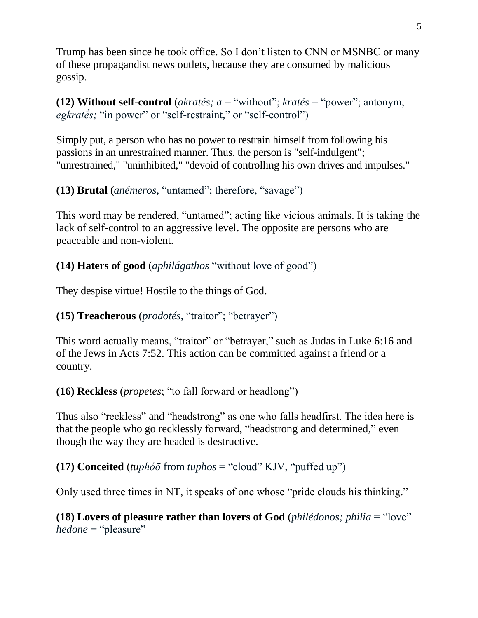Trump has been since he took office. So I don't listen to CNN or MSNBC or many of these propagandist news outlets, because they are consumed by malicious gossip.

**(12) Without self-control** (*akratés; a* = "without"; *kratés* = "power"; antonym, *egkratés;* "in power" or "self-restraint," or "self-control")

Simply put, a person who has no power to restrain himself from following his passions in an unrestrained manner. Thus, the person is "self-indulgent"; "unrestrained," "uninhibited," "devoid of controlling his own drives and impulses."

**(13) Brutal (***anémeros,* "untamed"; therefore, "savage")

This word may be rendered, "untamed"; acting like vicious animals. It is taking the lack of self-control to an aggressive level. The opposite are persons who are peaceable and non-violent.

**(14) Haters of good** (*aphilágathos* "without love of good")

They despise virtue! Hostile to the things of God.

**(15) Treacherous** (*prodotés,* "traitor"; "betrayer")

This word actually means, "traitor" or "betrayer," such as Judas in Luke 6:16 and of the Jews in Acts 7:52. This action can be committed against a friend or a country.

**(16) Reckless** (*propetes*; "to fall forward or headlong")

Thus also "reckless" and "headstrong" as one who falls headfirst. The idea here is that the people who go recklessly forward, "headstrong and determined," even though the way they are headed is destructive.

**(17) Conceited** (*tuphóō* from *tuphos* = "cloud" KJV, "puffed up")

Only used three times in NT, it speaks of one whose "pride clouds his thinking."

**(18) Lovers of pleasure rather than lovers of God** (*philédonos; philia* = "love" *hedone* = "pleasure"